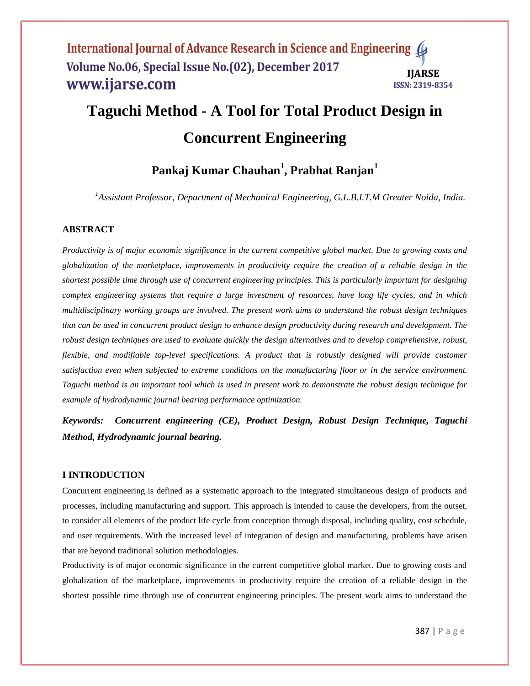# **Taguchi Method - A Tool for Total Product Design in Concurrent Engineering**

# **Pankaj Kumar Chauhan<sup>1</sup> , Prabhat Ranjan<sup>1</sup>**

*<sup>1</sup>Assistant Professor, Department of Mechanical Engineering, G.L.B.I.T.M Greater Noida, India.*

# **ABSTRACT**

*Productivity is of major economic significance in the current competitive global market. Due to growing costs and globalization of the marketplace, improvements in productivity require the creation of a reliable design in the shortest possible time through use of concurrent engineering principles. This is particularly important for designing complex engineering systems that require a large investment of resources, have long life cycles, and in which multidisciplinary working groups are involved. The present work aims to understand the robust design techniques that can be used in concurrent product design to enhance design productivity during research and development. The robust design techniques are used to evaluate quickly the design alternatives and to develop comprehensive, robust, flexible, and modifiable top-level specifications. A product that is robustly designed will provide customer satisfaction even when subjected to extreme conditions on the manufacturing floor or in the service environment. Taguchi method is an important tool which is used in present work to demonstrate the robust design technique for example of hydrodynamic journal bearing performance optimization.*

*Keywords: Concurrent engineering (CE), Product Design, Robust Design Technique, Taguchi Method, Hydrodynamic journal bearing.*

#### **I INTRODUCTION**

Concurrent engineering is defined as a systematic approach to the integrated simultaneous design of products and processes, including manufacturing and support. This approach is intended to cause the developers, from the outset, to consider all elements of the product life cycle from conception through disposal, including quality, cost schedule, and user requirements. With the increased level of integration of design and manufacturing, problems have arisen that are beyond traditional solution methodologies.

Productivity is of major economic significance in the current competitive global market. Due to growing costs and globalization of the marketplace, improvements in productivity require the creation of a reliable design in the shortest possible time through use of concurrent engineering principles. The present work aims to understand the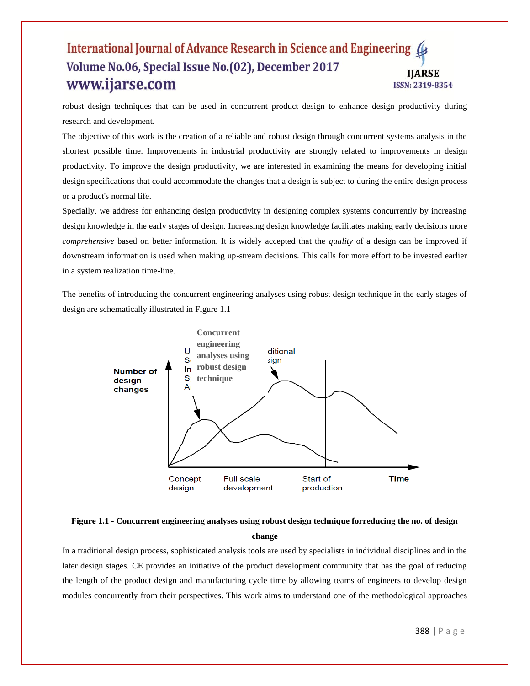robust design techniques that can be used in concurrent product design to enhance design productivity during research and development.

The objective of this work is the creation of a reliable and robust design through concurrent systems analysis in the shortest possible time. Improvements in industrial productivity are strongly related to improvements in design productivity. To improve the design productivity, we are interested in examining the means for developing initial design specifications that could accommodate the changes that a design is subject to during the entire design process or a product's normal life.

Specially, we address for enhancing design productivity in designing complex systems concurrently by increasing design knowledge in the early stages of design. Increasing design knowledge facilitates making early decisions more *comprehensive* based on better information. It is widely accepted that the *quality* of a design can be improved if downstream information is used when making up-stream decisions. This calls for more effort to be invested earlier in a system realization time-line.

The benefits of introducing the concurrent engineering analyses using robust design technique in the early stages of design are schematically illustrated in Figure 1.1





In a traditional design process, sophisticated analysis tools are used by specialists in individual disciplines and in the later design stages. CE provides an initiative of the product development community that has the goal of reducing the length of the product design and manufacturing cycle time by allowing teams of engineers to develop design modules concurrently from their perspectives. This work aims to understand one of the methodological approaches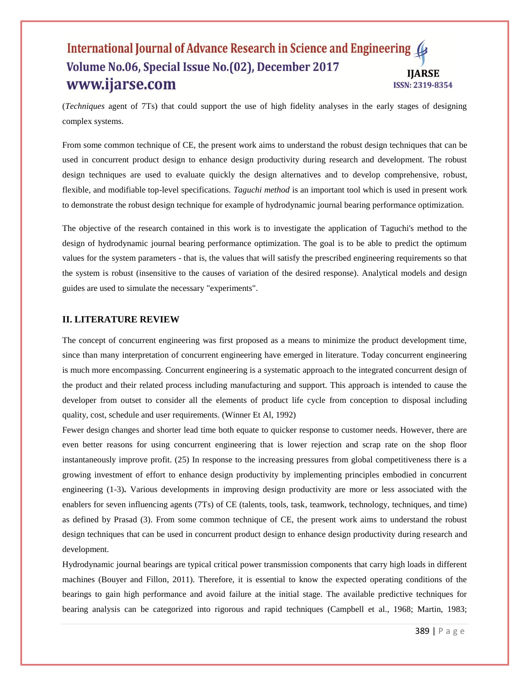(*Techniques* agent of 7Ts) that could support the use of high fidelity analyses in the early stages of designing complex systems.

From some common technique of CE, the present work aims to understand the robust design techniques that can be used in concurrent product design to enhance design productivity during research and development. The robust design techniques are used to evaluate quickly the design alternatives and to develop comprehensive, robust, flexible, and modifiable top-level specifications. *Taguchi method* is an important tool which is used in present work to demonstrate the robust design technique for example of hydrodynamic journal bearing performance optimization.

The objective of the research contained in this work is to investigate the application of Taguchi's method to the design of hydrodynamic journal bearing performance optimization. The goal is to be able to predict the optimum values for the system parameters - that is, the values that will satisfy the prescribed engineering requirements so that the system is robust (insensitive to the causes of variation of the desired response). Analytical models and design guides are used to simulate the necessary "experiments".

#### **II. LITERATURE REVIEW**

The concept of concurrent engineering was first proposed as a means to minimize the product development time, since than many interpretation of concurrent engineering have emerged in literature. Today concurrent engineering is much more encompassing. Concurrent engineering is a systematic approach to the integrated concurrent design of the product and their related process including manufacturing and support. This approach is intended to cause the developer from outset to consider all the elements of product life cycle from conception to disposal including quality, cost, schedule and user requirements. (Winner Et Al, 1992)

Fewer design changes and shorter lead time both equate to quicker response to customer needs. However, there are even better reasons for using concurrent engineering that is lower rejection and scrap rate on the shop floor instantaneously improve profit. (25) In response to the increasing pressures from global competitiveness there is a growing investment of effort to enhance design productivity by implementing principles embodied in concurrent engineering (1-3)**.** Various developments in improving design productivity are more or less associated with the enablers for seven influencing agents (7Ts) of CE (talents, tools, task, teamwork, technology, techniques, and time) as defined by Prasad (3). From some common technique of CE, the present work aims to understand the robust design techniques that can be used in concurrent product design to enhance design productivity during research and development.

Hydrodynamic journal bearings are typical critical power transmission components that carry high loads in different machines (Bouyer and Fillon, 2011). Therefore, it is essential to know the expected operating conditions of the bearings to gain high performance and avoid failure at the initial stage. The available predictive techniques for bearing analysis can be categorized into rigorous and rapid techniques (Campbell et al., 1968; Martin, 1983;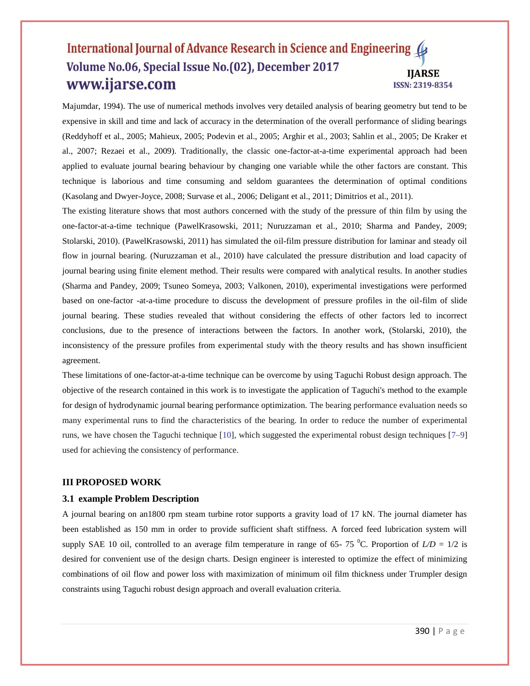Majumdar, 1994). The use of numerical methods involves very detailed analysis of bearing geometry but tend to be expensive in skill and time and lack of accuracy in the determination of the overall performance of sliding bearings (Reddyhoff et al., 2005; Mahieux, 2005; Podevin et al., 2005; Arghir et al., 2003; Sahlin et al., 2005; De Kraker et al., 2007; Rezaei et al., 2009). Traditionally, the classic one-factor-at-a-time experimental approach had been applied to evaluate journal bearing behaviour by changing one variable while the other factors are constant. This technique is laborious and time consuming and seldom guarantees the determination of optimal conditions (Kasolang and Dwyer-Joyce, 2008; Survase et al., 2006; Deligant et al., 2011; Dimitrios et al., 2011).

The existing literature shows that most authors concerned with the study of the pressure of thin film by using the one-factor-at-a-time technique (PawelKrasowski, 2011; Nuruzzaman et al., 2010; Sharma and Pandey, 2009; Stolarski, 2010). (PawelKrasowski, 2011) has simulated the oil-film pressure distribution for laminar and steady oil flow in journal bearing. (Nuruzzaman et al., 2010) have calculated the pressure distribution and load capacity of journal bearing using finite element method. Their results were compared with analytical results. In another studies (Sharma and Pandey, 2009; Tsuneo Someya, 2003; Valkonen, 2010), experimental investigations were performed based on one-factor -at-a-time procedure to discuss the development of pressure profiles in the oil-film of slide journal bearing. These studies revealed that without considering the effects of other factors led to incorrect conclusions, due to the presence of interactions between the factors. In another work, (Stolarski, 2010), the inconsistency of the pressure profiles from experimental study with the theory results and has shown insufficient agreement.

These limitations of one-factor-at-a-time technique can be overcome by using Taguchi Robust design approach. The objective of the research contained in this work is to investigate the application of Taguchi's method to the example for design of hydrodynamic journal bearing performance optimization. The bearing performance evaluation needs so many experimental runs to find the characteristics of the bearing. In order to reduce the number of experimental runs, we have chosen the Taguchi technique [10], which suggested the experimental robust design techniques [7–9] used for achieving the consistency of performance.

#### **III PROPOSED WORK**

#### **3.1 example Problem Description**

A journal bearing on an1800 rpm steam turbine rotor supports a gravity load of 17 kN. The journal diameter has been established as 150 mm in order to provide sufficient shaft stiffness. A forced feed lubrication system will supply SAE 10 oil, controlled to an average film temperature in range of 65- 75 <sup>o</sup>C. Proportion of  $L/D = 1/2$  is desired for convenient use of the design charts. Design engineer is interested to optimize the effect of minimizing combinations of oil flow and power loss with maximization of minimum oil film thickness under Trumpler design constraints using Taguchi robust design approach and overall evaluation criteria.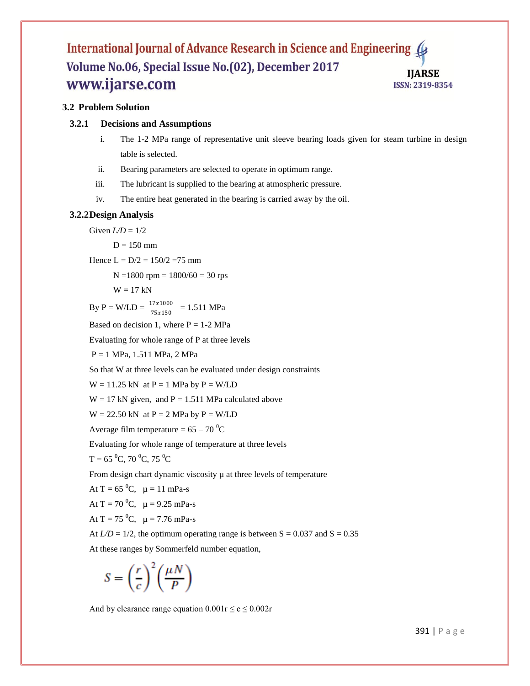# **3.2 Problem Solution**

#### **3.2.1 Decisions and Assumptions**

- i. The 1-2 MPa range of representative unit sleeve bearing loads given for steam turbine in design table is selected.
- ii. Bearing parameters are selected to operate in optimum range.
- iii. The lubricant is supplied to the bearing at atmospheric pressure.
- iv. The entire heat generated in the bearing is carried away by the oil.

#### **3.2.2Design Analysis**

Given  $LD = 1/2$ 

$$
D=150\;mm
$$

Hence  $L = D/2 = 150/2 = 75$  mm

 $N = 1800$  rpm =  $1800/60 = 30$  rps

 $W = 17$  kN

 $\text{By P} = \text{W} / \text{LD} = \frac{17 \times 1000}{75 \times 150} = 1.511 \text{ MPa}$ 

Based on decision 1, where  $P = 1-2 \text{ MPa}$ 

Evaluating for whole range of P at three levels

P = 1 MPa, 1.511 MPa, 2 MPa

So that W at three levels can be evaluated under design constraints

 $W = 11.25$  kN at  $P = 1$  MPa by  $P = W/LD$ 

 $W = 17$  kN given, and P = 1.511 MPa calculated above

 $W = 22.50$  kN at  $P = 2$  MPa by  $P = W/LD$ 

Average film temperature =  $65 - 70$ <sup>0</sup>C

Evaluating for whole range of temperature at three levels

 $T = 65$ <sup>0</sup>C, 70<sup>0</sup>C, 75<sup>0</sup>C

From design chart dynamic viscosity  $\mu$  at three levels of temperature

At  $T = 65 \,^0C$ ,  $\mu = 11 \, \text{mPa-s}$ 

At  $T = 70$  °C,  $\mu = 9.25$  mPa-s

At  $T = 75 \,^0C$ ,  $\mu = 7.76 \, \text{mPa-s}$ 

At  $LD = 1/2$ , the optimum operating range is between  $S = 0.037$  and  $S = 0.35$ 

At these ranges by Sommerfeld number equation,

$$
S = \left(\frac{r}{c}\right)^2 \left(\frac{\mu N}{P}\right)
$$

And by clearance range equation  $0.001r \le c \le 0.002r$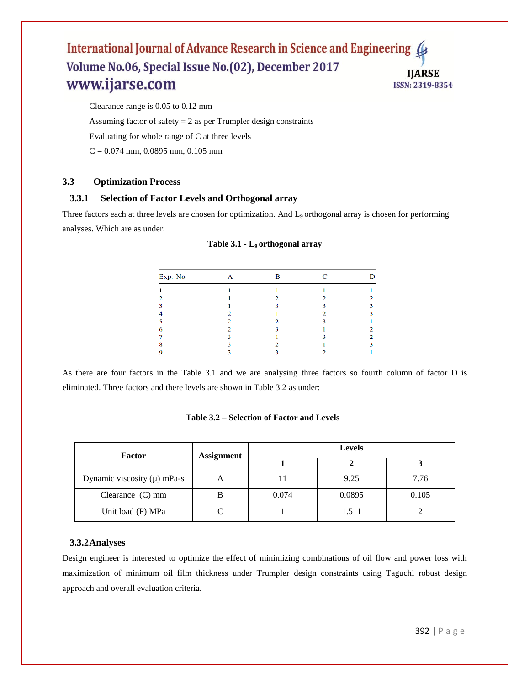Clearance range is 0.05 to 0.12 mm

Assuming factor of safety  $= 2$  as per Trumpler design constraints

Evaluating for whole range of C at three levels

 $C = 0.074$  mm, 0.0895 mm, 0.105 mm

# **3.3 Optimization Process**

### **3.3.1 Selection of Factor Levels and Orthogonal array**

Three factors each at three levels are chosen for optimization. And L<sub>9</sub> orthogonal array is chosen for performing analyses. Which are as under:

| Exp. No | Α | в | С | D |
|---------|---|---|---|---|
|         |   |   |   |   |
|         |   | ◠ | ∍ | ◠ |
|         |   |   |   |   |
|         |   |   |   |   |
|         |   |   |   |   |
| 6       |   |   |   |   |
|         |   |   |   | ∍ |
| 8       |   |   |   |   |
|         |   |   |   |   |

|  | Table 3.1 - L <sub>9</sub> orthogonal array |  |
|--|---------------------------------------------|--|
|--|---------------------------------------------|--|

As there are four factors in the Table 3.1 and we are analysing three factors so fourth column of factor D is eliminated. Three factors and there levels are shown in Table 3.2 as under:

#### **Table 3.2 – Selection of Factor and Levels**

| <b>Factor</b>                   | Assignment  |       |        |       |
|---------------------------------|-------------|-------|--------|-------|
|                                 |             |       |        |       |
| Dynamic viscosity $(\mu)$ mPa-s | $\mathbf A$ |       | 9.25   | 7.76  |
| Clearance $(C)$ mm              |             | 0.074 | 0.0895 | 0.105 |
| Unit load (P) MPa               |             |       | 1.511  |       |

#### **3.3.2Analyses**

Design engineer is interested to optimize the effect of minimizing combinations of oil flow and power loss with maximization of minimum oil film thickness under Trumpler design constraints using Taguchi robust design approach and overall evaluation criteria.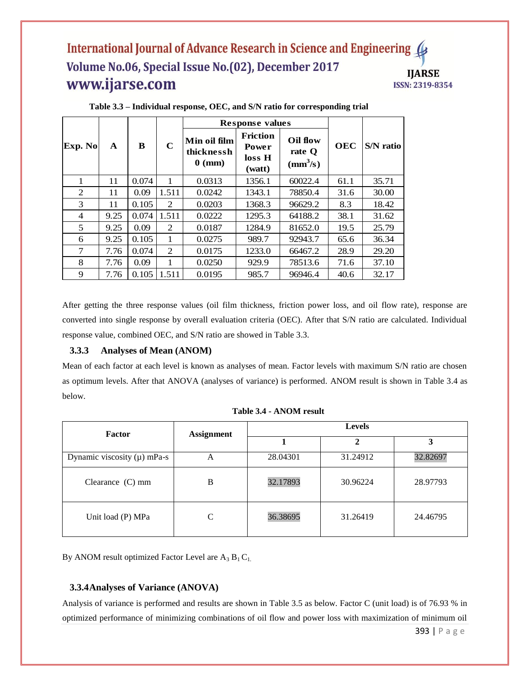| Exp. No<br>A |      |       |             | <b>Response values</b>                                                                         |        |                                                |            |           |
|--------------|------|-------|-------------|------------------------------------------------------------------------------------------------|--------|------------------------------------------------|------------|-----------|
|              |      | B     | $\mathbf C$ | <b>Friction</b><br>Min oil film<br>Power<br>thicknessh<br>loss H<br>$0 \text{ (mm)}$<br>(watt) |        | Oil flow<br>rate Q<br>$\text{(mm}^3\text{/s)}$ | <b>OEC</b> | S/N ratio |
| 1            | 11   | 0.074 | 1           | 0.0313                                                                                         | 1356.1 | 60022.4                                        | 61.1       | 35.71     |
| 2            | 11   | 0.09  | 1.511       | 0.0242                                                                                         | 1343.1 | 78850.4                                        | 31.6       | 30.00     |
| 3            | 11   | 0.105 | 2           | 0.0203                                                                                         | 1368.3 | 96629.2                                        | 8.3        | 18.42     |
| 4            | 9.25 | 0.074 | 1.511       | 0.0222                                                                                         | 1295.3 | 64188.2                                        | 38.1       | 31.62     |
| 5            | 9.25 | 0.09  | 2           | 0.0187                                                                                         | 1284.9 | 81652.0                                        | 19.5       | 25.79     |
| 6            | 9.25 | 0.105 | 1           | 0.0275                                                                                         | 989.7  | 92943.7                                        | 65.6       | 36.34     |
| 7            | 7.76 | 0.074 | 2           | 0.0175                                                                                         | 1233.0 | 66467.2                                        | 28.9       | 29.20     |
| 8            | 7.76 | 0.09  | 1           | 0.0250                                                                                         | 929.9  | 78513.6                                        | 71.6       | 37.10     |
| 9            | 7.76 | 0.105 | 1.511       | 0.0195                                                                                         | 985.7  | 96946.4                                        | 40.6       | 32.17     |

#### **Table 3.3 – Individual response, OEC, and S/N ratio for corresponding trial**

After getting the three response values (oil film thickness, friction power loss, and oil flow rate), response are converted into single response by overall evaluation criteria (OEC). After that S/N ratio are calculated. Individual response value, combined OEC, and S/N ratio are showed in Table 3.3.

#### **3.3.3 Analyses of Mean (ANOM)**

Mean of each factor at each level is known as analyses of mean. Factor levels with maximum S/N ratio are chosen as optimum levels. After that ANOVA (analyses of variance) is performed. ANOM result is shown in Table 3.4 as below.

| Factor                          | <b>Assignment</b> | <b>Levels</b><br>ി |          |          |  |
|---------------------------------|-------------------|--------------------|----------|----------|--|
|                                 |                   |                    |          |          |  |
| Dynamic viscosity $(\mu)$ mPa-s | A                 | 28.04301           | 31.24912 | 32.82697 |  |
| Clearance $(C)$ mm              | В                 | 32.17893           | 30.96224 | 28.97793 |  |
| Unit load (P) MPa               |                   | 36.38695           | 31.26419 | 24.46795 |  |

|  | Table 3.4 - ANOM result |  |
|--|-------------------------|--|
|--|-------------------------|--|

By ANOM result optimized Factor Level are  $A_3 B_1 C_1$ .

#### **3.3.4Analyses of Variance (ANOVA)**

Analysis of variance is performed and results are shown in Table 3.5 as below. Factor C (unit load) is of 76.93 % in optimized performance of minimizing combinations of oil flow and power loss with maximization of minimum oil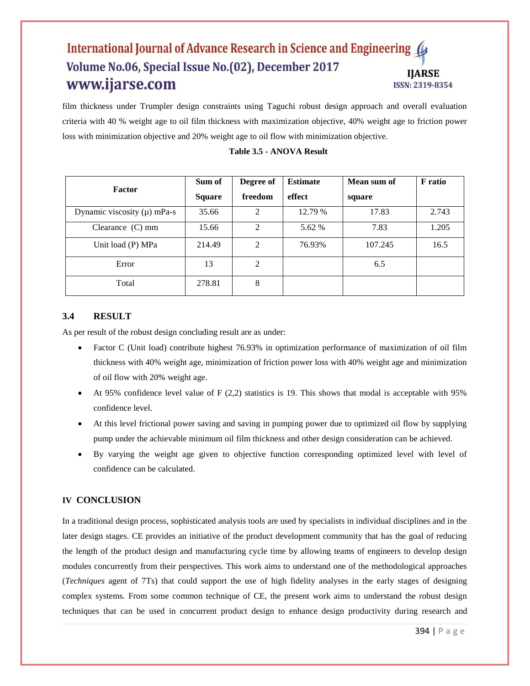film thickness under Trumpler design constraints using Taguchi robust design approach and overall evaluation criteria with 40 % weight age to oil film thickness with maximization objective, 40% weight age to friction power loss with minimization objective and 20% weight age to oil flow with minimization objective.

|                                 | Sum of        | Degree of | <b>Estimate</b> | Mean sum of | <b>F</b> ratio |
|---------------------------------|---------------|-----------|-----------------|-------------|----------------|
| <b>Factor</b>                   | <b>Square</b> | freedom   | effect          | square      |                |
| Dynamic viscosity $(\mu)$ mPa-s | 35.66         | 2         | 12.79 %         | 17.83       | 2.743          |
| Clearance $(C)$ mm              | 15.66         | 2         | 5.62 %          | 7.83        | 1.205          |
| Unit load (P) MPa               | 214.49        | 2         | 76.93%          | 107.245     | 16.5           |
| Error                           | 13            | 2         |                 | 6.5         |                |
| Total                           | 278.81        | 8         |                 |             |                |

#### **Table 3.5 - ANOVA Result**

### **3.4 RESULT**

As per result of the robust design concluding result are as under:

- Factor C (Unit load) contribute highest 76.93% in optimization performance of maximization of oil film thickness with 40% weight age, minimization of friction power loss with 40% weight age and minimization of oil flow with 20% weight age.
- At 95% confidence level value of  $F(2,2)$  statistics is 19. This shows that modal is acceptable with 95% confidence level.
- At this level frictional power saving and saving in pumping power due to optimized oil flow by supplying pump under the achievable minimum oil film thickness and other design consideration can be achieved.
- By varying the weight age given to objective function corresponding optimized level with level of confidence can be calculated.

#### **IV CONCLUSION**

In a traditional design process, sophisticated analysis tools are used by specialists in individual disciplines and in the later design stages. CE provides an initiative of the product development community that has the goal of reducing the length of the product design and manufacturing cycle time by allowing teams of engineers to develop design modules concurrently from their perspectives. This work aims to understand one of the methodological approaches (*Techniques* agent of 7Ts) that could support the use of high fidelity analyses in the early stages of designing complex systems. From some common technique of CE, the present work aims to understand the robust design techniques that can be used in concurrent product design to enhance design productivity during research and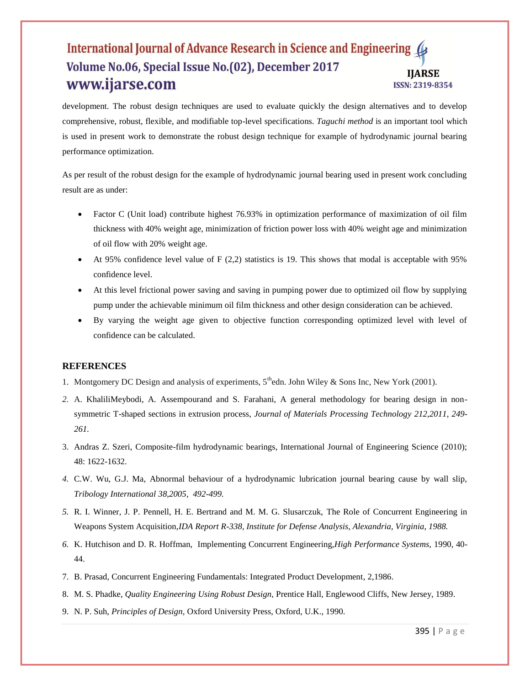development. The robust design techniques are used to evaluate quickly the design alternatives and to develop comprehensive, robust, flexible, and modifiable top-level specifications. *Taguchi method* is an important tool which is used in present work to demonstrate the robust design technique for example of hydrodynamic journal bearing performance optimization.

As per result of the robust design for the example of hydrodynamic journal bearing used in present work concluding result are as under:

- Factor C (Unit load) contribute highest 76.93% in optimization performance of maximization of oil film thickness with 40% weight age, minimization of friction power loss with 40% weight age and minimization of oil flow with 20% weight age.
- At 95% confidence level value of F  $(2,2)$  statistics is 19. This shows that modal is acceptable with 95% confidence level.
- At this level frictional power saving and saving in pumping power due to optimized oil flow by supplying pump under the achievable minimum oil film thickness and other design consideration can be achieved.
- By varying the weight age given to objective function corresponding optimized level with level of confidence can be calculated.

#### **REFERENCES**

- 1. Montgomery DC Design and analysis of experiments,  $5<sup>th</sup>$ edn. John Wiley & Sons Inc, New York (2001).
- *2.* A. KhaliliMeybodi, A. Assempourand and S. Farahani, A general methodology for bearing design in nonsymmetric T-shaped sections in extrusion process, *Journal of Materials Processing Technology 212,2011, 249- 261.*
- 3. Andras Z. Szeri, Composite-film hydrodynamic bearings, International Journal of Engineering Science (2010); 48: 1622-1632.
- *4.* C.W. Wu, G.J. Ma, Abnormal behaviour of a hydrodynamic lubrication journal bearing cause by wall slip, *Tribology International 38,2005, 492-499.*
- *5.* R. I. Winner, J. P. Pennell, H. E. Bertrand and M. M. G. Slusarczuk, The Role of Concurrent Engineering in Weapons System Acquisition,*IDA Report R-338, Institute for Defense Analysis, Alexandria, Virginia, 1988.*
- *6.* K. Hutchison and D. R. Hoffman, Implementing Concurrent Engineering,*High Performance Systems,* 1990, 40- 44.
- 7. B. Prasad, Concurrent Engineering Fundamentals: Integrated Product Development, 2,1986.
- 8. M. S. Phadke, *Quality Engineering Using Robust Design,* Prentice Hall, Englewood Cliffs, New Jersey, 1989.
- 9. N. P. Suh, *Principles of Design,* Oxford University Press, Oxford, U.K., 1990.